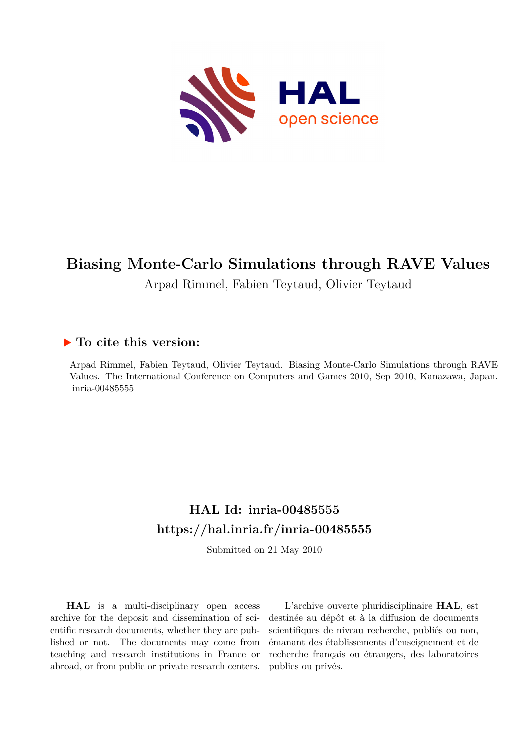

# **Biasing Monte-Carlo Simulations through RAVE Values**

Arpad Rimmel, Fabien Teytaud, Olivier Teytaud

# **To cite this version:**

Arpad Rimmel, Fabien Teytaud, Olivier Teytaud. Biasing Monte-Carlo Simulations through RAVE Values. The International Conference on Computers and Games 2010, Sep 2010, Kanazawa, Japan. inria-00485555

# **HAL Id: inria-00485555 <https://hal.inria.fr/inria-00485555>**

Submitted on 21 May 2010

**HAL** is a multi-disciplinary open access archive for the deposit and dissemination of scientific research documents, whether they are published or not. The documents may come from teaching and research institutions in France or abroad, or from public or private research centers.

L'archive ouverte pluridisciplinaire **HAL**, est destinée au dépôt et à la diffusion de documents scientifiques de niveau recherche, publiés ou non, émanant des établissements d'enseignement et de recherche français ou étrangers, des laboratoires publics ou privés.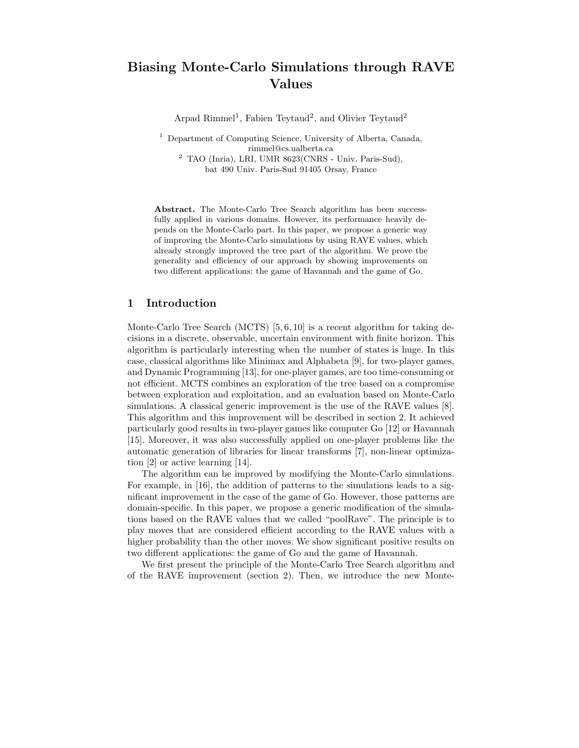# Biasing Monte-Carlo Simulations through RAVE Values

Arpad Rimmel<sup>1</sup>, Fabien Teytaud<sup>2</sup>, and Olivier Teytaud<sup>2</sup>

<sup>1</sup> Department of Computing Science, University of Alberta, Canada, rimmel@cs.ualberta.ca <sup>2</sup> TAO (Inria), LRI, UMR 8623(CNRS - Univ. Paris-Sud), bat 490 Univ. Paris-Sud 91405 Orsay, France

Abstract. The Monte-Carlo Tree Search algorithm has been successfully applied in various domains. However, its performance heavily depends on the Monte-Carlo part. In this paper, we propose a generic way of improving the Monte-Carlo simulations by using RAVE values, which already strongly improved the tree part of the algorithm. We prove the generality and efficiency of our approach by showing improvements on two different applications: the game of Havannah and the game of Go.

# 1 Introduction

Monte-Carlo Tree Search (MCTS) [5, 6, 10] is a recent algorithm for taking decisions in a discrete, observable, uncertain environment with finite horizon. This algorithm is particularly interesting when the number of states is huge. In this case, classical algorithms like Minimax and Alphabeta [9], for two-player games, and Dynamic Programming [13], for one-player games, are too time-consuming or not efficient. MCTS combines an exploration of the tree based on a compromise between exploration and exploitation, and an evaluation based on Monte-Carlo simulations. A classical generic improvement is the use of the RAVE values [8]. This algorithm and this improvement will be described in section 2. It achieved particularly good results in two-player games like computer Go [12] or Havannah [15]. Moreover, it was also successfully applied on one-player problems like the automatic generation of libraries for linear transforms [7], non-linear optimization [2] or active learning [14].

The algorithm can be improved by modifying the Monte-Carlo simulations. For example, in [16], the addition of patterns to the simulations leads to a significant improvement in the case of the game of Go. However, those patterns are domain-specific. In this paper, we propose a generic modification of the simulations based on the RAVE values that we called "poolRave". The principle is to play moves that are considered efficient according to the RAVE values with a higher probability than the other moves. We show significant positive results on two different applications: the game of Go and the game of Havannah.

We first present the principle of the Monte-Carlo Tree Search algorithm and of the RAVE improvement (section 2). Then, we introduce the new Monte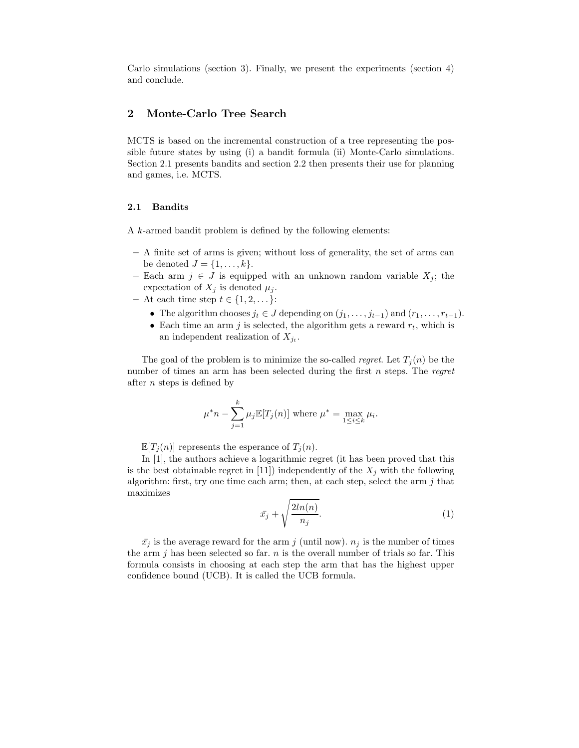Carlo simulations (section 3). Finally, we present the experiments (section 4) and conclude.

# 2 Monte-Carlo Tree Search

MCTS is based on the incremental construction of a tree representing the possible future states by using (i) a bandit formula (ii) Monte-Carlo simulations. Section 2.1 presents bandits and section 2.2 then presents their use for planning and games, i.e. MCTS.

#### 2.1 Bandits

A k-armed bandit problem is defined by the following elements:

- A finite set of arms is given; without loss of generality, the set of arms can be denoted  $J = \{1, \ldots, k\}.$
- Each arm  $j \in J$  is equipped with an unknown random variable  $X_j$ ; the expectation of  $X_j$  is denoted  $\mu_j$ .
- At each time step  $t \in \{1, 2, \dots\}$ :
	- The algorithm chooses  $j_t \in J$  depending on  $(j_1, \ldots, j_{t-1})$  and  $(r_1, \ldots, r_{t-1})$ .
	- Each time an arm  $j$  is selected, the algorithm gets a reward  $r_t$ , which is an independent realization of  $X_{j_t}$ .

The goal of the problem is to minimize the so-called *regret*. Let  $T_i(n)$  be the number of times an arm has been selected during the first n steps. The regret after n steps is defined by

$$
\mu^* n - \sum_{j=1}^k \mu_j \mathbb{E}[T_j(n)] \text{ where } \mu^* = \max_{1 \le i \le k} \mu_i.
$$

 $\mathbb{E}[T_i(n)]$  represents the esperance of  $T_i(n)$ .

In [1], the authors achieve a logarithmic regret (it has been proved that this is the best obtainable regret in [11]) independently of the  $X_i$  with the following algorithm: first, try one time each arm; then, at each step, select the arm  $j$  that maximizes

$$
\bar{x_j} + \sqrt{\frac{2ln(n)}{n_j}}.\tag{1}
$$

 $\bar{x}_j$  is the average reward for the arm j (until now).  $n_j$  is the number of times the arm  $i$  has been selected so far.  $n$  is the overall number of trials so far. This formula consists in choosing at each step the arm that has the highest upper confidence bound (UCB). It is called the UCB formula.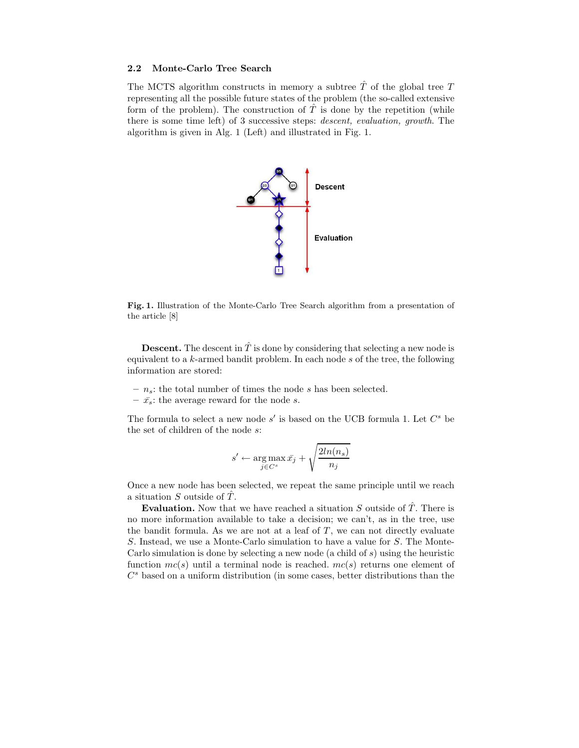### 2.2 Monte-Carlo Tree Search

The MCTS algorithm constructs in memory a subtree  $\hat{T}$  of the global tree T representing all the possible future states of the problem (the so-called extensive form of the problem). The construction of  $\hat{T}$  is done by the repetition (while there is some time left) of 3 successive steps: descent, evaluation, growth. The algorithm is given in Alg. 1 (Left) and illustrated in Fig. 1.



Fig. 1. Illustration of the Monte-Carlo Tree Search algorithm from a presentation of the article [8]

**Descent.** The descent in  $\hat{T}$  is done by considering that selecting a new node is equivalent to a  $k$ -armed bandit problem. In each node  $s$  of the tree, the following information are stored:

- $n_s$ : the total number of times the node s has been selected.
- $\bar{x}_s$ : the average reward for the node s.

The formula to select a new node  $s'$  is based on the UCB formula 1. Let  $C^s$  be the set of children of the node s:

$$
s' \leftarrow \argmax_{j \in C^s} \bar{x_j} + \sqrt{\frac{2ln(n_s)}{n_j}}
$$

Once a new node has been selected, we repeat the same principle until we reach a situation  $S$  outside of  $\overline{T}$ .

Evaluation. Now that we have reached a situation S outside of  $\hat{T}$ . There is no more information available to take a decision; we can't, as in the tree, use the bandit formula. As we are not at a leaf of  $T$ , we can not directly evaluate S. Instead, we use a Monte-Carlo simulation to have a value for S. The Monte-Carlo simulation is done by selecting a new node (a child of s) using the heuristic function  $mc(s)$  until a terminal node is reached.  $mc(s)$  returns one element of  $C<sup>s</sup>$  based on a uniform distribution (in some cases, better distributions than the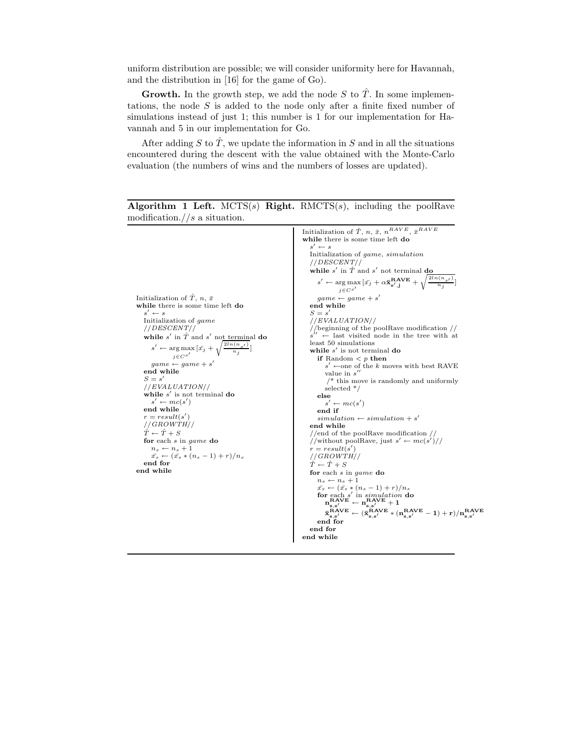uniform distribution are possible; we will consider uniformity here for Havannah, and the distribution in [16] for the game of Go).

**Growth.** In the growth step, we add the node S to  $\hat{T}$ . In some implementations, the node  $S$  is added to the node only after a finite fixed number of simulations instead of just 1; this number is 1 for our implementation for Havannah and 5 in our implementation for Go.

After adding S to  $\hat{T}$ , we update the information in S and in all the situations encountered during the descent with the value obtained with the Monte-Carlo evaluation (the numbers of wins and the numbers of losses are updated).

```
Initialization of \hat{T}, n, \bar{x}while there is some time left do
    s' \leftarrow sInitialization of game
   //DESCENT//
    while s' in \hat{T} and s' not terminal do
       s' \leftarrow \arg \max_{i} \left[ \bar{x_j} + \sqrt{\frac{2 \ln(n_{s'})}{n_j}} \right]j \in C^{S'}game \leftarrow game + s'end while
    S = s'//EVALUATION//
    while s' is not terminal do
       s' \leftarrow mc(s')end while
   r = result(s)′
                         )
   //GROWTH//
   \hat{T} \leftarrow \hat{T} + Sfor each s in game do
       n_s \leftarrow n_s + 1\bar{x_s} \leftarrow (\bar{x_s} * (n_s - 1) + r)/n_send for
end while
                                                                                 Initialization of \hat{T}, n, \bar{x}, n<sup>RAVE</sup>, \bar{x}^{RAVE}while there is some time left do
                                                                                    s' \leftarrow sInitialization of game, simulation
                                                                                   //DESCENT//
                                                                                    while s' in \hat{T} and s' not terminal do
                                                                                        s' \leftarrow \arg \max_{\mathbf{x}'} \left[ \bar{x_j} + \alpha \mathbf{\bar{x}_{s',j}^{RAVE}} + \sqrt{\frac{2 \ln(n_{s'})}{n_j}} \right]j \in C^{S'}game \leftarrow game + s'end while
                                                                                    S = s//EVALUATION//
                                                                                    //beginning of the poolRave modification //
                                                                                    s
                                                                                        \leftarrow last visited node in the tree with at
                                                                                   least 50 simulations
                                                                                    while s' is not terminal do
                                                                                       if Random <p> then
                                                                                            s' ←one of the k moves with best RAVE
                                                                                            value in s''/* this move is randomly and uniformly
                                                                                           selected */
                                                                                       else
                                                                                        s' \leftarrow mc(s')<br>end if
                                                                                        simulation \leftarrow simulation + s'end while
                                                                                    //end of the poolRave modification //
                                                                                    //without poolRave, just s' \leftarrow mc(s')//
                                                                                    r = result(s')//GROWTH/\hat{\hat{T}} \leftarrow \hat{T} + Sfor each s in game do
                                                                                       n_s \leftarrow n_s + 1\begin{array}{l}\n\bar{x}_s \leftarrow (\bar{x}_s * (n_s - 1) + r)/n_s \\
\quad\text{for each } s' \text{ in simulation }\mathbf{do} \\
\quad\mathbf{n}_{\mathbf{s},s'}^{\mathbf{RAVE}} \leftarrow \mathbf{n}_{\mathbf{s},s'}^{\mathbf{RIVE}} + 1\n\end{array}\bar{\mathbf{x}}_{\mathbf{s},\mathbf{s}'}^{\text{RAVE}} \leftarrow (\bar{\mathbf{x}}_{\mathbf{s},\mathbf{s}'}^{\text{RAVE}} * (\mathbf{n}_{\mathbf{s},\mathbf{s}'}^{\text{RAVE}} - 1) + \mathbf{r})/\mathbf{n}_{\mathbf{s},\mathbf{s}'}^{\text{RAVE}}<br>end for
                                                                                   end for
                                                                                end while
```
Algorithm 1 Left.  $MCTS(s)$  Right. RMCTS(s), including the poolRave modification.//s a situation.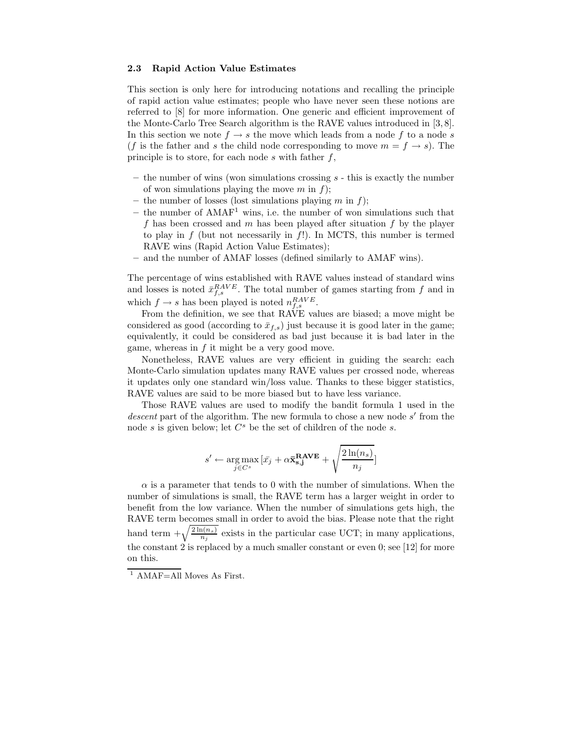#### 2.3 Rapid Action Value Estimates

This section is only here for introducing notations and recalling the principle of rapid action value estimates; people who have never seen these notions are referred to [8] for more information. One generic and efficient improvement of the Monte-Carlo Tree Search algorithm is the RAVE values introduced in [3, 8]. In this section we note  $f \rightarrow s$  the move which leads from a node f to a node s (f is the father and s the child node corresponding to move  $m = f \rightarrow s$ ). The principle is to store, for each node  $s$  with father  $f$ ,

- $-$  the number of wins (won simulations crossing  $s$  this is exactly the number of won simulations playing the move  $m$  in  $f$ );
- the number of losses (lost simulations playing  $m$  in  $f$ );
- the number of  $AMAF<sup>1</sup>$  wins, i.e. the number of won simulations such that f has been crossed and  $m$  has been played after situation  $f$  by the player to play in f (but not necessarily in f!). In MCTS, this number is termed RAVE wins (Rapid Action Value Estimates);
- and the number of AMAF losses (defined similarly to AMAF wins).

The percentage of wins established with RAVE values instead of standard wins and losses is noted  $\bar{x}_{f,s}^{RAVE}$ . The total number of games starting from f and in which  $f \to s$  has been played is noted  $n_{f,s}^{RAVE}$ .

From the definition, we see that RAVE values are biased; a move might be considered as good (according to  $\bar{x}_{f,s}$ ) just because it is good later in the game; equivalently, it could be considered as bad just because it is bad later in the game, whereas in  $f$  it might be a very good move.

Nonetheless, RAVE values are very efficient in guiding the search: each Monte-Carlo simulation updates many RAVE values per crossed node, whereas it updates only one standard win/loss value. Thanks to these bigger statistics, RAVE values are said to be more biased but to have less variance.

Those RAVE values are used to modify the bandit formula 1 used in the  $descent$  part of the algorithm. The new formula to chose a new node  $s'$  from the node  $s$  is given below; let  $C^s$  be the set of children of the node  $s$ .

$$
s' \leftarrow \mathop{\arg\max}\limits_{j \in C^s} \, [\bar{x_j} + \alpha \mathbf{\bar{x}_{s,j}^{RAVE}} + \sqrt{\frac{2\ln(n_s)}{n_j}}]
$$

 $\alpha$  is a parameter that tends to 0 with the number of simulations. When the number of simulations is small, the RAVE term has a larger weight in order to benefit from the low variance. When the number of simulations gets high, the RAVE term becomes small in order to avoid the bias. Please note that the right hand term  $+\sqrt{\frac{2 \ln(n_s)}{n_j}}$  exists in the particular case UCT; in many applications, the constant  $2$  is replaced by a much smaller constant or even 0; see [12] for more on this.

 $1$  AMAF=All Moves As First.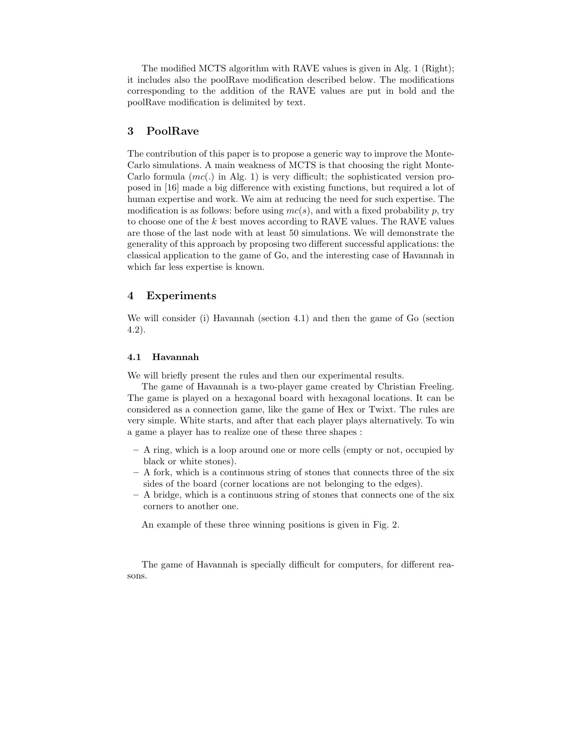The modified MCTS algorithm with RAVE values is given in Alg. 1 (Right); it includes also the poolRave modification described below. The modifications corresponding to the addition of the RAVE values are put in bold and the poolRave modification is delimited by text.

# 3 PoolRave

The contribution of this paper is to propose a generic way to improve the Monte-Carlo simulations. A main weakness of MCTS is that choosing the right Monte-Carlo formula  $(mc(.)$  in Alg. 1) is very difficult; the sophisticated version proposed in [16] made a big difference with existing functions, but required a lot of human expertise and work. We aim at reducing the need for such expertise. The modification is as follows: before using  $mc(s)$ , and with a fixed probability p, try to choose one of the  $k$  best moves according to RAVE values. The RAVE values are those of the last node with at least 50 simulations. We will demonstrate the generality of this approach by proposing two different successful applications: the classical application to the game of Go, and the interesting case of Havannah in which far less expertise is known.

# 4 Experiments

We will consider (i) Havannah (section 4.1) and then the game of Go (section 4.2).

#### 4.1 Havannah

We will briefly present the rules and then our experimental results.

The game of Havannah is a two-player game created by Christian Freeling. The game is played on a hexagonal board with hexagonal locations. It can be considered as a connection game, like the game of Hex or Twixt. The rules are very simple. White starts, and after that each player plays alternatively. To win a game a player has to realize one of these three shapes :

- A ring, which is a loop around one or more cells (empty or not, occupied by black or white stones).
- A fork, which is a continuous string of stones that connects three of the six sides of the board (corner locations are not belonging to the edges).
- A bridge, which is a continuous string of stones that connects one of the six corners to another one.

An example of these three winning positions is given in Fig. 2.

The game of Havannah is specially difficult for computers, for different reasons.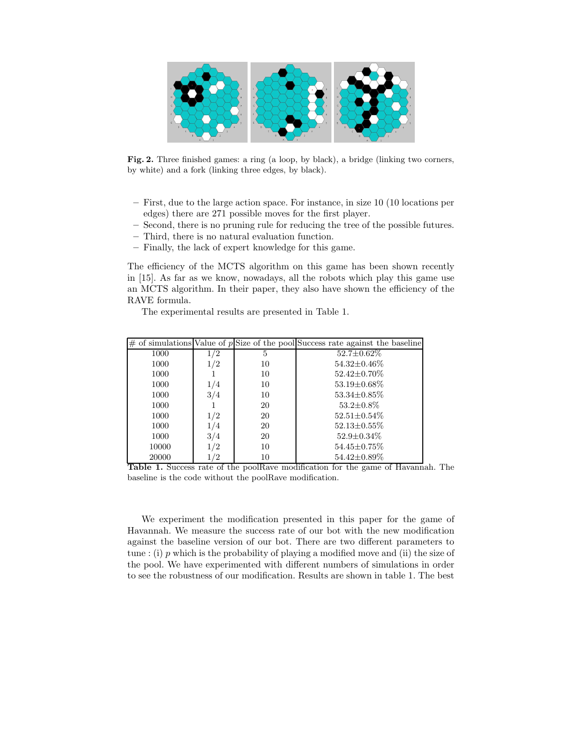

Fig. 2. Three finished games: a ring (a loop, by black), a bridge (linking two corners, by white) and a fork (linking three edges, by black).

- First, due to the large action space. For instance, in size 10 (10 locations per edges) there are 271 possible moves for the first player.
- Second, there is no pruning rule for reducing the tree of the possible futures.
- Third, there is no natural evaluation function.
- Finally, the lack of expert knowledge for this game.

The efficiency of the MCTS algorithm on this game has been shown recently in [15]. As far as we know, nowadays, all the robots which play this game use an MCTS algorithm. In their paper, they also have shown the efficiency of the RAVE formula.

The experimental results are presented in Table 1.

|       |     |    | $\#$ of simulations Value of pSize of the pool Success rate against the baseline |
|-------|-----|----|----------------------------------------------------------------------------------|
| 1000  | 1/2 | 5  | $52.7 \pm 0.62\%$                                                                |
| 1000  | 1/2 | 10 | 54.32±0.46%                                                                      |
| 1000  |     | 10 | 52.42±0.70%                                                                      |
| 1000  | 1/4 | 10 | 53.19±0.68%                                                                      |
| 1000  | 3/4 | 10 | 53.34±0.85%                                                                      |
| 1000  |     | 20 | $53.2 \pm 0.8\%$                                                                 |
| 1000  | 1/2 | 20 | $52.51 \pm 0.54\%$                                                               |
| 1000  | 1/4 | 20 | $52.13 \pm 0.55\%$                                                               |
| 1000  | 3/4 | 20 | $52.9 \pm 0.34\%$                                                                |
| 10000 | 1/2 | 10 | 54.45±0.75%                                                                      |
| 20000 | /2  | 10 | 54.42±0.89%                                                                      |

Table 1. Success rate of the poolRave modification for the game of Havannah. The baseline is the code without the poolRave modification.

We experiment the modification presented in this paper for the game of Havannah. We measure the success rate of our bot with the new modification against the baseline version of our bot. There are two different parameters to tune : (i) p which is the probability of playing a modified move and (ii) the size of the pool. We have experimented with different numbers of simulations in order to see the robustness of our modification. Results are shown in table 1. The best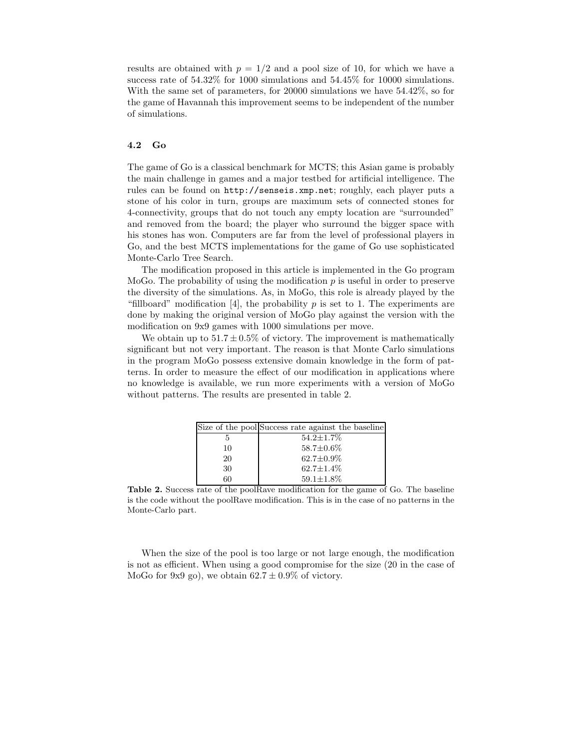results are obtained with  $p = 1/2$  and a pool size of 10, for which we have a success rate of 54.32% for 1000 simulations and 54.45% for 10000 simulations. With the same set of parameters, for 20000 simulations we have 54.42%, so for the game of Havannah this improvement seems to be independent of the number of simulations.

#### 4.2 Go

The game of Go is a classical benchmark for MCTS; this Asian game is probably the main challenge in games and a major testbed for artificial intelligence. The rules can be found on http://senseis.xmp.net; roughly, each player puts a stone of his color in turn, groups are maximum sets of connected stones for 4-connectivity, groups that do not touch any empty location are "surrounded" and removed from the board; the player who surround the bigger space with his stones has won. Computers are far from the level of professional players in Go, and the best MCTS implementations for the game of Go use sophisticated Monte-Carlo Tree Search.

The modification proposed in this article is implemented in the Go program MoGo. The probability of using the modification  $p$  is useful in order to preserve the diversity of the simulations. As, in MoGo, this role is already played by the "fillboard" modification [4], the probability p is set to 1. The experiments are done by making the original version of MoGo play against the version with the modification on 9x9 games with 1000 simulations per move.

We obtain up to  $51.7 \pm 0.5\%$  of victory. The improvement is mathematically significant but not very important. The reason is that Monte Carlo simulations in the program MoGo possess extensive domain knowledge in the form of patterns. In order to measure the effect of our modification in applications where no knowledge is available, we run more experiments with a version of MoGo without patterns. The results are presented in table 2.

|    | Size of the pool Success rate against the baseline |
|----|----------------------------------------------------|
| 5  | $54.2 \pm 1.7\%$                                   |
| 10 | $58.7 \pm 0.6\%$                                   |
| 20 | $62.7 \pm 0.9\%$                                   |
| 30 | $62.7 \pm 1.4\%$                                   |
| 60 | $59.1 \pm 1.8\%$                                   |
|    |                                                    |

Table 2. Success rate of the poolRave modification for the game of Go. The baseline is the code without the poolRave modification. This is in the case of no patterns in the Monte-Carlo part.

When the size of the pool is too large or not large enough, the modification is not as efficient. When using a good compromise for the size (20 in the case of MoGo for 9x9 go), we obtain  $62.7 \pm 0.9\%$  of victory.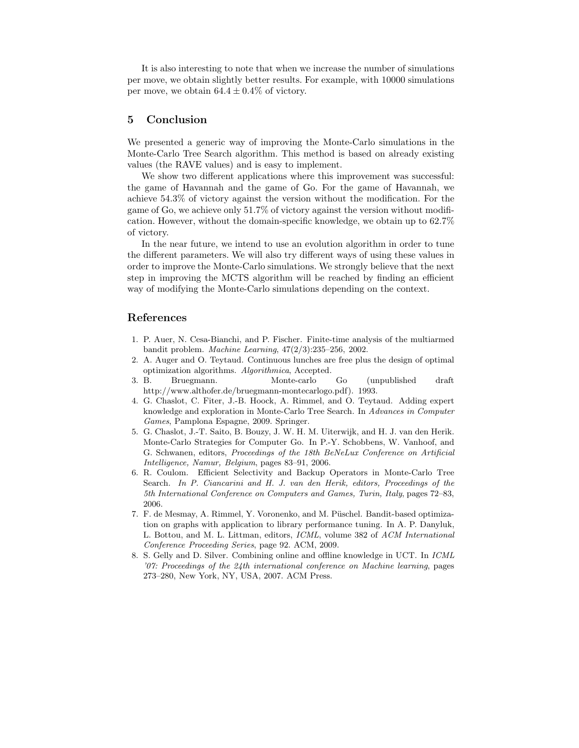It is also interesting to note that when we increase the number of simulations per move, we obtain slightly better results. For example, with 10000 simulations per move, we obtain  $64.4 \pm 0.4\%$  of victory.

# 5 Conclusion

We presented a generic way of improving the Monte-Carlo simulations in the Monte-Carlo Tree Search algorithm. This method is based on already existing values (the RAVE values) and is easy to implement.

We show two different applications where this improvement was successful: the game of Havannah and the game of Go. For the game of Havannah, we achieve 54.3% of victory against the version without the modification. For the game of Go, we achieve only 51.7% of victory against the version without modification. However, without the domain-specific knowledge, we obtain up to 62.7% of victory.

In the near future, we intend to use an evolution algorithm in order to tune the different parameters. We will also try different ways of using these values in order to improve the Monte-Carlo simulations. We strongly believe that the next step in improving the MCTS algorithm will be reached by finding an efficient way of modifying the Monte-Carlo simulations depending on the context.

### References

- 1. P. Auer, N. Cesa-Bianchi, and P. Fischer. Finite-time analysis of the multiarmed bandit problem. Machine Learning, 47(2/3):235–256, 2002.
- 2. A. Auger and O. Teytaud. Continuous lunches are free plus the design of optimal optimization algorithms. Algorithmica, Accepted.
- 3. B. Bruegmann. Monte-carlo Go (unpublished draft http://www.althofer.de/bruegmann-montecarlogo.pdf). 1993.
- 4. G. Chaslot, C. Fiter, J.-B. Hoock, A. Rimmel, and O. Teytaud. Adding expert knowledge and exploration in Monte-Carlo Tree Search. In Advances in Computer Games, Pamplona Espagne, 2009. Springer.
- 5. G. Chaslot, J.-T. Saito, B. Bouzy, J. W. H. M. Uiterwijk, and H. J. van den Herik. Monte-Carlo Strategies for Computer Go. In P.-Y. Schobbens, W. Vanhoof, and G. Schwanen, editors, Proceedings of the 18th BeNeLux Conference on Artificial Intelligence, Namur, Belgium, pages 83–91, 2006.
- 6. R. Coulom. Efficient Selectivity and Backup Operators in Monte-Carlo Tree Search. In P. Ciancarini and H. J. van den Herik, editors, Proceedings of the 5th International Conference on Computers and Games, Turin, Italy, pages 72–83, 2006.
- 7. F. de Mesmay, A. Rimmel, Y. Voronenko, and M. Püschel. Bandit-based optimization on graphs with application to library performance tuning. In A. P. Danyluk, L. Bottou, and M. L. Littman, editors, ICML, volume 382 of ACM International Conference Proceeding Series, page 92. ACM, 2009.
- 8. S. Gelly and D. Silver. Combining online and offline knowledge in UCT. In ICML '07: Proceedings of the 24th international conference on Machine learning, pages 273–280, New York, NY, USA, 2007. ACM Press.